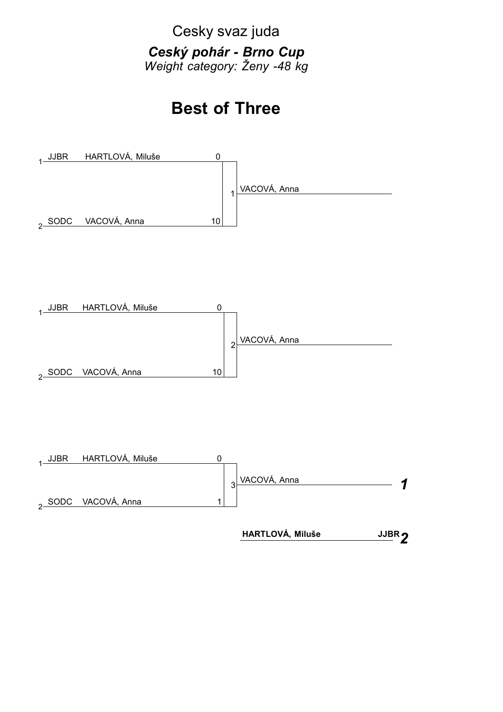Cesky svaz juda

*Ceský pohár - Brno Cup Weight category: Ženy -48 kg*

## **Best of Three**

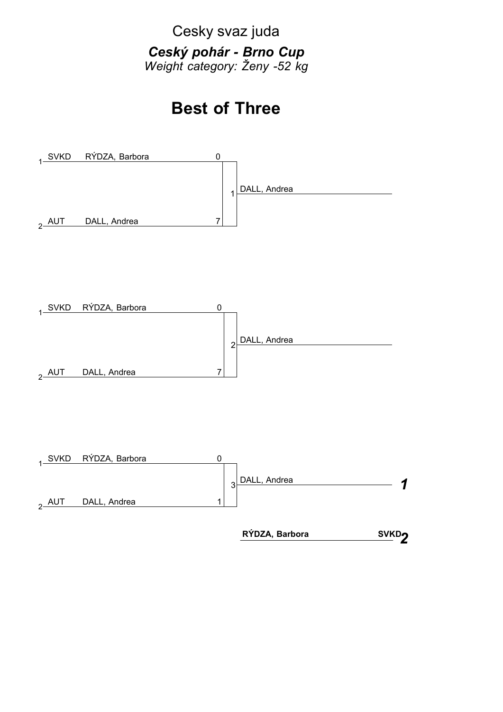Cesky svaz juda

*Ceský pohár - Brno Cup Weight category: Ženy -52 kg*

## **Best of Three**

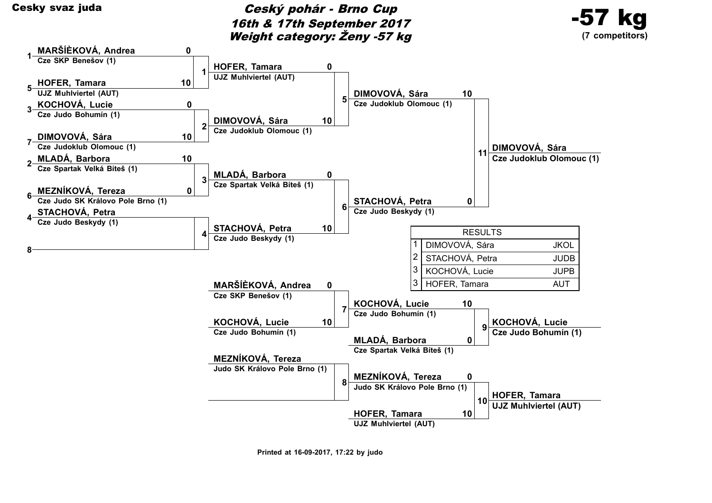

Cesky svaz juda<br>
Cesky svaz juda<br>
Ceský pohár - Brno Cup 16th & 17th September 2017 Weight category: Ženy -57 kg





**Printed at 16-09-2017, 17:22 by judo**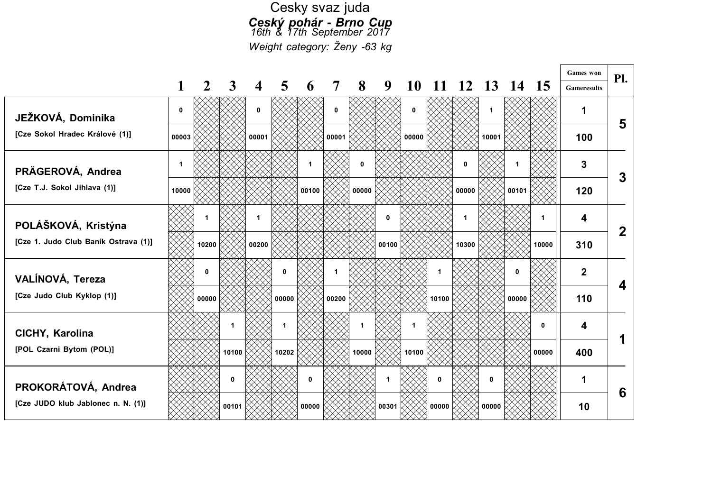## Cesky svaz juda *Ceský pohár - Brno Cup 16th & 17th September 2017 Weight category: Ženy -63 kg*

Г

|                                      |              |       |       |       |       |       |                |       |       |       |          |       |               |                 |       | <b>Games</b> won   | Pl.          |
|--------------------------------------|--------------|-------|-------|-------|-------|-------|----------------|-------|-------|-------|----------|-------|---------------|-----------------|-------|--------------------|--------------|
|                                      |              |       | 3     |       | 5     | 6     | $\overline{7}$ | 8     | 9     | 10    |          | 12    | $\mathbf{13}$ | $\vert 4 \vert$ | -15   | <b>Gameresults</b> |              |
| JEŽKOVÁ, Dominika                    | $\mathbf{0}$ |       |       | 0     |       |       | 0              |       |       | 0     |          |       | 1             |                 |       |                    | 5            |
| [Cze Sokol Hradec Králové (1)]       | 00003        |       |       | 00001 |       |       | 00001          |       |       | 00000 |          |       | 10001         |                 |       | 100                |              |
| PRÄGEROVÁ, Andrea                    |              |       |       |       |       | 1     |                | 0     |       |       |          | 0     |               |                 |       | 3                  | $\mathbf{3}$ |
| [Cze T.J. Sokol Jihlava (1)]         | 10000        |       |       |       |       | 00100 |                | 00000 |       |       |          | 00000 |               | 00101           |       | 120                |              |
| POLÁŠKOVÁ, Kristýna                  |              |       |       |       |       |       |                |       | 0     |       |          |       |               |                 |       | 4                  | $\mathbf{2}$ |
| [Cze 1. Judo Club Baník Ostrava (1)] |              | 10200 |       | 00200 |       |       |                |       | 00100 |       |          | 10300 |               |                 | 10000 | 310                |              |
| VALÍNOVÁ, Tereza                     |              | n     |       |       | 0     |       |                |       |       |       |          |       |               |                 |       | $\overline{2}$     | 4            |
| [Cze Judo Club Kyklop (1)]           |              | 00000 |       |       | 00000 |       | 00200          |       |       |       | 10100    |       |               | 00000           |       | 110                |              |
| CICHY, Karolina                      |              |       |       |       |       |       |                |       |       | 1     |          |       |               |                 | 0     | 4                  |              |
| [POL Czarni Bytom (POL)]             |              |       | 10100 |       | 10202 |       |                | 10000 |       | 10100 |          |       |               |                 | 00000 | 400                |              |
| PROKORÁTOVÁ, Andrea                  |              |       | 0     |       |       | 0     |                |       | 1     |       | $\bf{0}$ |       | 0             |                 |       | 1                  | 6            |
| [Cze JUDO klub Jablonec n. N. (1)]   |              |       | 00101 |       |       | 00000 |                |       | 00301 |       | 00000    |       | 00000         |                 |       | 10                 |              |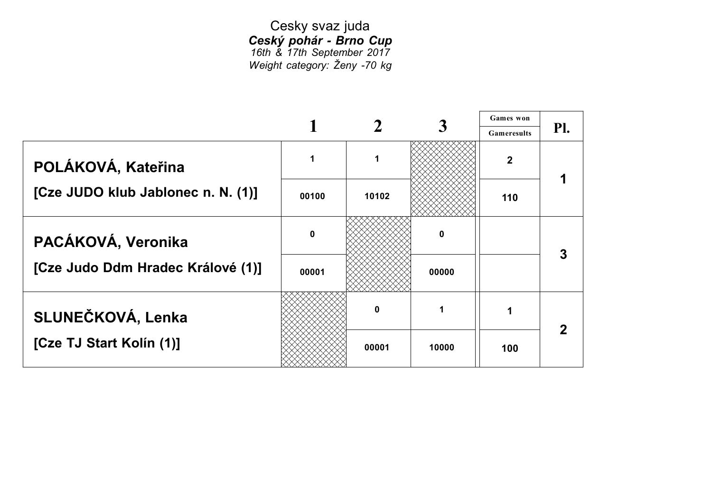Cesky svaz juda *Ceský pohár - Brno Cup 16th & 17th September 2017 Weight category: Ženy -70 kg*

|                                    |       |       |       | <b>Games</b> won   |     |
|------------------------------------|-------|-------|-------|--------------------|-----|
|                                    |       |       |       | <b>Gameresults</b> | Pl. |
| POLÁKOVÁ, Kateřina                 |       |       |       | $\mathbf 2$        |     |
| [Cze JUDO klub Jablonec n. N. (1)] | 00100 | 10102 |       | 110                |     |
| PACÁKOVÁ, Veronika                 | 0     |       | 0     |                    |     |
| [Cze Judo Ddm Hradec Králové (1)]  | 00001 |       | 00000 |                    |     |
| SLUNEČKOVÁ, Lenka                  |       |       | 1     |                    |     |
| [Cze TJ Start Kolín (1)]           |       | 00001 | 10000 | 100                |     |